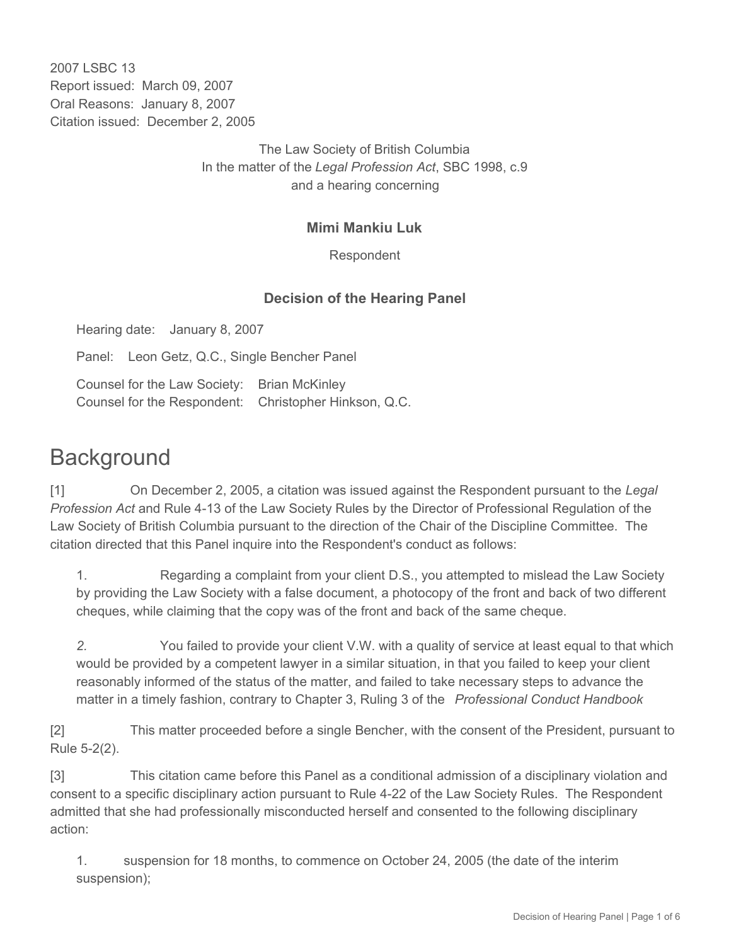2007 LSBC 13 Report issued: March 09, 2007 Oral Reasons: January 8, 2007 Citation issued: December 2, 2005

> The Law Society of British Columbia In the matter of the *Legal Profession Act*, SBC 1998, c.9 and a hearing concerning

#### **Mimi Mankiu Luk**

Respondent

### **Decision of the Hearing Panel**

Hearing date: January 8, 2007

Panel: Leon Getz, Q.C., Single Bencher Panel

Counsel for the Law Society: Brian McKinley Counsel for the Respondent: Christopher Hinkson, Q.C.

# **Background**

[1] On December 2, 2005, a citation was issued against the Respondent pursuant to the *Legal Profession Act* and Rule 4-13 of the Law Society Rules by the Director of Professional Regulation of the Law Society of British Columbia pursuant to the direction of the Chair of the Discipline Committee. The citation directed that this Panel inquire into the Respondent's conduct as follows:

1. Regarding a complaint from your client D.S., you attempted to mislead the Law Society by providing the Law Society with a false document, a photocopy of the front and back of two different cheques, while claiming that the copy was of the front and back of the same cheque.

*2.* You failed to provide your client V.W. with a quality of service at least equal to that which would be provided by a competent lawyer in a similar situation, in that you failed to keep your client reasonably informed of the status of the matter, and failed to take necessary steps to advance the matter in a timely fashion, contrary to Chapter 3, Ruling 3 of the *Professional Conduct Handbook*

[2] This matter proceeded before a single Bencher, with the consent of the President, pursuant to Rule 5-2(2).

[3] This citation came before this Panel as a conditional admission of a disciplinary violation and consent to a specific disciplinary action pursuant to Rule 4-22 of the Law Society Rules. The Respondent admitted that she had professionally misconducted herself and consented to the following disciplinary action:

1. suspension for 18 months, to commence on October 24, 2005 (the date of the interim suspension);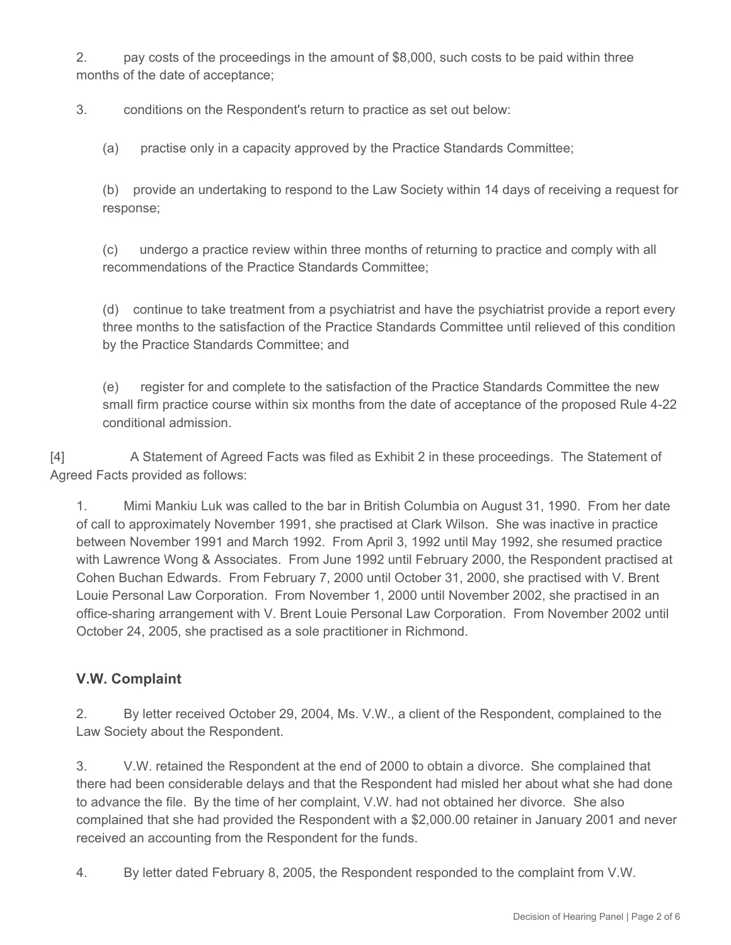2. pay costs of the proceedings in the amount of \$8,000, such costs to be paid within three months of the date of acceptance;

3. conditions on the Respondent's return to practice as set out below:

(a) practise only in a capacity approved by the Practice Standards Committee;

(b) provide an undertaking to respond to the Law Society within 14 days of receiving a request for response;

(c) undergo a practice review within three months of returning to practice and comply with all recommendations of the Practice Standards Committee;

(d) continue to take treatment from a psychiatrist and have the psychiatrist provide a report every three months to the satisfaction of the Practice Standards Committee until relieved of this condition by the Practice Standards Committee; and

(e) register for and complete to the satisfaction of the Practice Standards Committee the new small firm practice course within six months from the date of acceptance of the proposed Rule 4-22 conditional admission.

[4] A Statement of Agreed Facts was filed as Exhibit 2 in these proceedings. The Statement of Agreed Facts provided as follows:

1. Mimi Mankiu Luk was called to the bar in British Columbia on August 31, 1990. From her date of call to approximately November 1991, she practised at Clark Wilson. She was inactive in practice between November 1991 and March 1992. From April 3, 1992 until May 1992, she resumed practice with Lawrence Wong & Associates. From June 1992 until February 2000, the Respondent practised at Cohen Buchan Edwards. From February 7, 2000 until October 31, 2000, she practised with V. Brent Louie Personal Law Corporation. From November 1, 2000 until November 2002, she practised in an office-sharing arrangement with V. Brent Louie Personal Law Corporation. From November 2002 until October 24, 2005, she practised as a sole practitioner in Richmond.

### **V.W. Complaint**

2. By letter received October 29, 2004, Ms. V.W., a client of the Respondent, complained to the Law Society about the Respondent.

3. V.W. retained the Respondent at the end of 2000 to obtain a divorce. She complained that there had been considerable delays and that the Respondent had misled her about what she had done to advance the file. By the time of her complaint, V.W. had not obtained her divorce. She also complained that she had provided the Respondent with a \$2,000.00 retainer in January 2001 and never received an accounting from the Respondent for the funds.

4. By letter dated February 8, 2005, the Respondent responded to the complaint from V.W.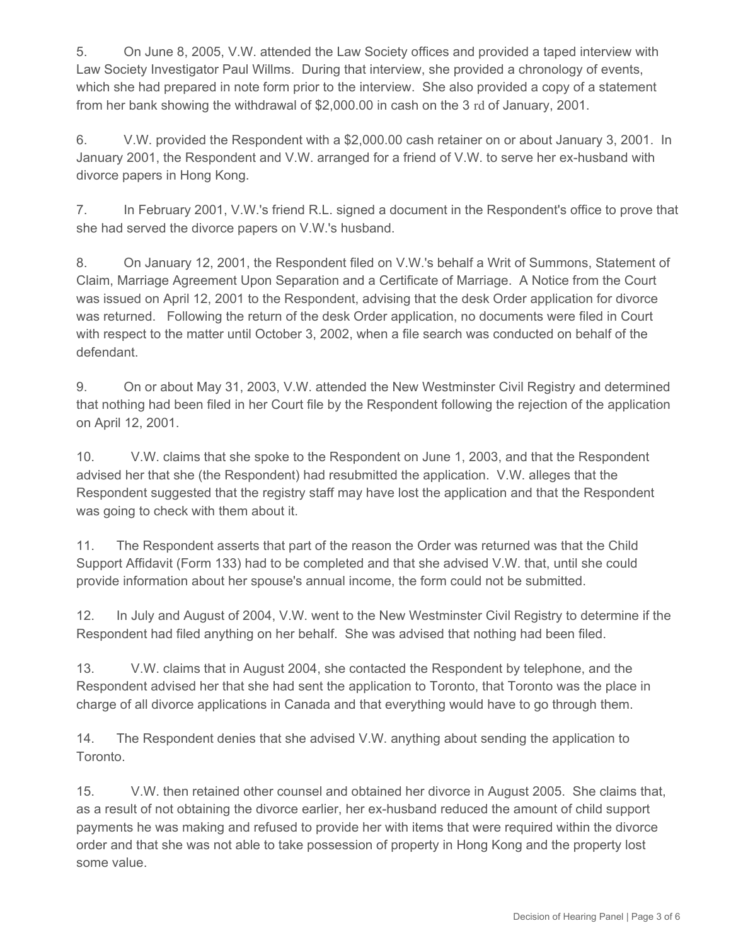5. On June 8, 2005, V.W. attended the Law Society offices and provided a taped interview with Law Society Investigator Paul Willms. During that interview, she provided a chronology of events, which she had prepared in note form prior to the interview. She also provided a copy of a statement from her bank showing the withdrawal of \$2,000.00 in cash on the 3 rd of January, 2001.

6. V.W. provided the Respondent with a \$2,000.00 cash retainer on or about January 3, 2001. In January 2001, the Respondent and V.W. arranged for a friend of V.W. to serve her ex-husband with divorce papers in Hong Kong.

7. In February 2001, V.W.'s friend R.L. signed a document in the Respondent's office to prove that she had served the divorce papers on V.W.'s husband.

8. On January 12, 2001, the Respondent filed on V.W.'s behalf a Writ of Summons, Statement of Claim, Marriage Agreement Upon Separation and a Certificate of Marriage. A Notice from the Court was issued on April 12, 2001 to the Respondent, advising that the desk Order application for divorce was returned. Following the return of the desk Order application, no documents were filed in Court with respect to the matter until October 3, 2002, when a file search was conducted on behalf of the defendant.

9. On or about May 31, 2003, V.W. attended the New Westminster Civil Registry and determined that nothing had been filed in her Court file by the Respondent following the rejection of the application on April 12, 2001.

10. V.W. claims that she spoke to the Respondent on June 1, 2003, and that the Respondent advised her that she (the Respondent) had resubmitted the application. V.W. alleges that the Respondent suggested that the registry staff may have lost the application and that the Respondent was going to check with them about it.

11. The Respondent asserts that part of the reason the Order was returned was that the Child Support Affidavit (Form 133) had to be completed and that she advised V.W. that, until she could provide information about her spouse's annual income, the form could not be submitted.

12. In July and August of 2004, V.W. went to the New Westminster Civil Registry to determine if the Respondent had filed anything on her behalf. She was advised that nothing had been filed.

13. V.W. claims that in August 2004, she contacted the Respondent by telephone, and the Respondent advised her that she had sent the application to Toronto, that Toronto was the place in charge of all divorce applications in Canada and that everything would have to go through them.

14. The Respondent denies that she advised V.W. anything about sending the application to Toronto.

15. V.W. then retained other counsel and obtained her divorce in August 2005. She claims that, as a result of not obtaining the divorce earlier, her ex-husband reduced the amount of child support payments he was making and refused to provide her with items that were required within the divorce order and that she was not able to take possession of property in Hong Kong and the property lost some value.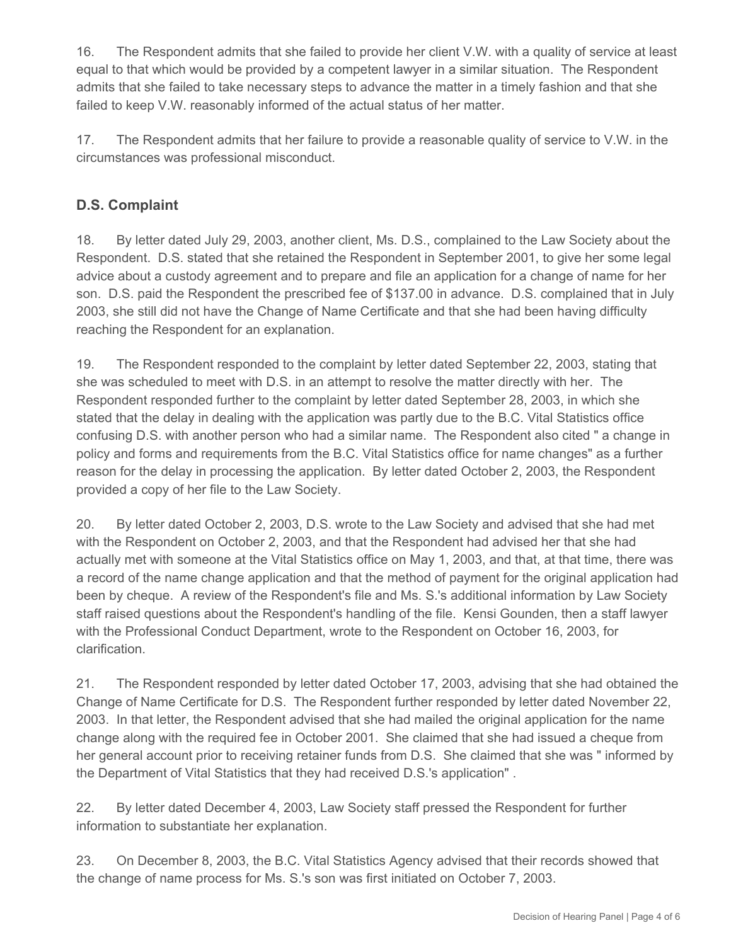16. The Respondent admits that she failed to provide her client V.W. with a quality of service at least equal to that which would be provided by a competent lawyer in a similar situation. The Respondent admits that she failed to take necessary steps to advance the matter in a timely fashion and that she failed to keep V.W. reasonably informed of the actual status of her matter.

17. The Respondent admits that her failure to provide a reasonable quality of service to V.W. in the circumstances was professional misconduct.

## **D.S. Complaint**

18. By letter dated July 29, 2003, another client, Ms. D.S., complained to the Law Society about the Respondent. D.S. stated that she retained the Respondent in September 2001, to give her some legal advice about a custody agreement and to prepare and file an application for a change of name for her son. D.S. paid the Respondent the prescribed fee of \$137.00 in advance. D.S. complained that in July 2003, she still did not have the Change of Name Certificate and that she had been having difficulty reaching the Respondent for an explanation.

19. The Respondent responded to the complaint by letter dated September 22, 2003, stating that she was scheduled to meet with D.S. in an attempt to resolve the matter directly with her. The Respondent responded further to the complaint by letter dated September 28, 2003, in which she stated that the delay in dealing with the application was partly due to the B.C. Vital Statistics office confusing D.S. with another person who had a similar name. The Respondent also cited " a change in policy and forms and requirements from the B.C. Vital Statistics office for name changes" as a further reason for the delay in processing the application. By letter dated October 2, 2003, the Respondent provided a copy of her file to the Law Society.

20. By letter dated October 2, 2003, D.S. wrote to the Law Society and advised that she had met with the Respondent on October 2, 2003, and that the Respondent had advised her that she had actually met with someone at the Vital Statistics office on May 1, 2003, and that, at that time, there was a record of the name change application and that the method of payment for the original application had been by cheque. A review of the Respondent's file and Ms. S.'s additional information by Law Society staff raised questions about the Respondent's handling of the file. Kensi Gounden, then a staff lawyer with the Professional Conduct Department, wrote to the Respondent on October 16, 2003, for clarification.

21. The Respondent responded by letter dated October 17, 2003, advising that she had obtained the Change of Name Certificate for D.S. The Respondent further responded by letter dated November 22, 2003. In that letter, the Respondent advised that she had mailed the original application for the name change along with the required fee in October 2001. She claimed that she had issued a cheque from her general account prior to receiving retainer funds from D.S. She claimed that she was " informed by the Department of Vital Statistics that they had received D.S.'s application" .

22. By letter dated December 4, 2003, Law Society staff pressed the Respondent for further information to substantiate her explanation.

23. On December 8, 2003, the B.C. Vital Statistics Agency advised that their records showed that the change of name process for Ms. S.'s son was first initiated on October 7, 2003.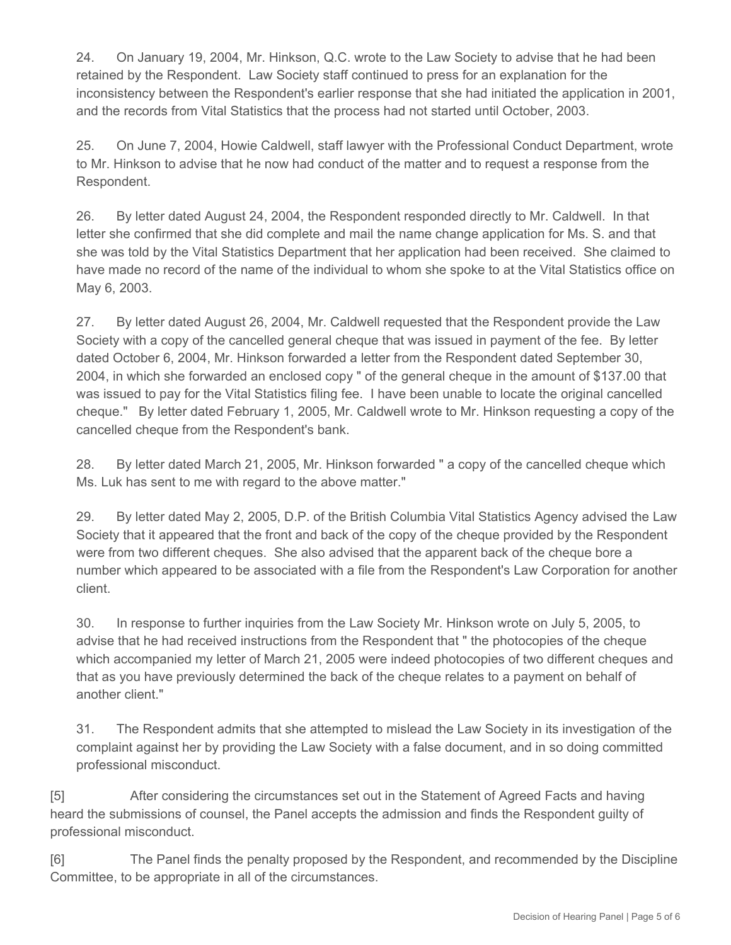24. On January 19, 2004, Mr. Hinkson, Q.C. wrote to the Law Society to advise that he had been retained by the Respondent. Law Society staff continued to press for an explanation for the inconsistency between the Respondent's earlier response that she had initiated the application in 2001, and the records from Vital Statistics that the process had not started until October, 2003.

25. On June 7, 2004, Howie Caldwell, staff lawyer with the Professional Conduct Department, wrote to Mr. Hinkson to advise that he now had conduct of the matter and to request a response from the Respondent.

26. By letter dated August 24, 2004, the Respondent responded directly to Mr. Caldwell. In that letter she confirmed that she did complete and mail the name change application for Ms. S. and that she was told by the Vital Statistics Department that her application had been received. She claimed to have made no record of the name of the individual to whom she spoke to at the Vital Statistics office on May 6, 2003.

27. By letter dated August 26, 2004, Mr. Caldwell requested that the Respondent provide the Law Society with a copy of the cancelled general cheque that was issued in payment of the fee. By letter dated October 6, 2004, Mr. Hinkson forwarded a letter from the Respondent dated September 30, 2004, in which she forwarded an enclosed copy " of the general cheque in the amount of \$137.00 that was issued to pay for the Vital Statistics filing fee. I have been unable to locate the original cancelled cheque." By letter dated February 1, 2005, Mr. Caldwell wrote to Mr. Hinkson requesting a copy of the cancelled cheque from the Respondent's bank.

28. By letter dated March 21, 2005, Mr. Hinkson forwarded " a copy of the cancelled cheque which Ms. Luk has sent to me with regard to the above matter."

29. By letter dated May 2, 2005, D.P. of the British Columbia Vital Statistics Agency advised the Law Society that it appeared that the front and back of the copy of the cheque provided by the Respondent were from two different cheques. She also advised that the apparent back of the cheque bore a number which appeared to be associated with a file from the Respondent's Law Corporation for another client.

30. In response to further inquiries from the Law Society Mr. Hinkson wrote on July 5, 2005, to advise that he had received instructions from the Respondent that " the photocopies of the cheque which accompanied my letter of March 21, 2005 were indeed photocopies of two different cheques and that as you have previously determined the back of the cheque relates to a payment on behalf of another client."

31. The Respondent admits that she attempted to mislead the Law Society in its investigation of the complaint against her by providing the Law Society with a false document, and in so doing committed professional misconduct.

[5] After considering the circumstances set out in the Statement of Agreed Facts and having heard the submissions of counsel, the Panel accepts the admission and finds the Respondent guilty of professional misconduct.

[6] The Panel finds the penalty proposed by the Respondent, and recommended by the Discipline Committee, to be appropriate in all of the circumstances.